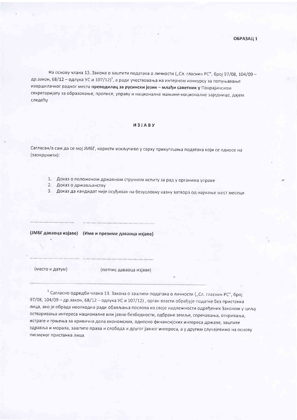На основу члана 13. Закона о заштити података о личности ("Сл. гласник РС", број 97/08, 104/09 др.закон, 68/12 - одлука УС и 107/12)<sup>1</sup>, а ради учествовања на интерном конкурсу за попуњавање извршилачког радног места преводилац за русински језик - млађи саветник у Покрајинском секретаријату за образовање, прописе, управу и националне мањине-националне заједнице, дајем следећу

## *M3JABY*

Сагласан/а сам да се мој ЈМБГ, користи искључиво у сврху прикупљања података који се односе на (заокружити):

- 1. Доказ о положеном државном стручном испиту за рад у органима управе
- 2. Доказ о држављанству
- 3. Доказ да кандидат није осуђиван на безусловну казну затвора од најмање шест месеци

|                 | (ЈМБГ даваоца изјаве) (Име и презиме даваоца изјаве) |  |  |
|-----------------|------------------------------------------------------|--|--|
|                 |                                                      |  |  |
|                 |                                                      |  |  |
| (место и датум) | (потпис даваоца изјаве)                              |  |  |
|                 |                                                      |  |  |

1 Сагласно одредби члана 13. Закона о заштити података о личности ("Сл. гласник РС", број 97/08, 104/09 - др.закон, 68/12 - одлука УС и 107/12), орган власти обрађује податке без пристанка лица, ако је обрада неопходна ради обављања послова из своје надлежности одређених Законом у циљу остваривања интереса националне или јавне безбедности, одбране земље, спречавања, откривања, истраге и гоњења за кривична дела економских, односно финансијских интереса државе, заштите здравља и морала, заштите права и слобода и другог јавног интереса, а у другим случајевима на основу писменог пристанка лица.